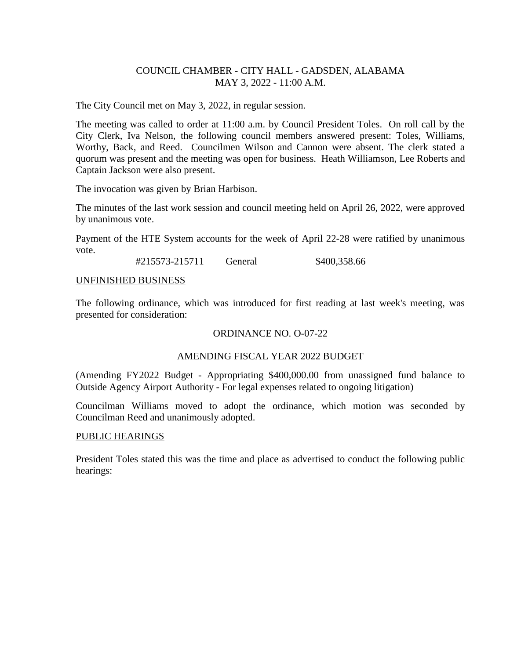# COUNCIL CHAMBER - CITY HALL - GADSDEN, ALABAMA MAY 3, 2022 - 11:00 A.M.

The City Council met on May 3, 2022, in regular session.

The meeting was called to order at 11:00 a.m. by Council President Toles. On roll call by the City Clerk, Iva Nelson, the following council members answered present: Toles, Williams, Worthy, Back, and Reed. Councilmen Wilson and Cannon were absent. The clerk stated a quorum was present and the meeting was open for business. Heath Williamson, Lee Roberts and Captain Jackson were also present.

The invocation was given by Brian Harbison.

The minutes of the last work session and council meeting held on April 26, 2022, were approved by unanimous vote.

Payment of the HTE System accounts for the week of April 22-28 were ratified by unanimous vote.

#215573-215711 General \$400,358.66

#### UNFINISHED BUSINESS

The following ordinance, which was introduced for first reading at last week's meeting, was presented for consideration:

# ORDINANCE NO. O-07-22

# AMENDING FISCAL YEAR 2022 BUDGET

(Amending FY2022 Budget - Appropriating \$400,000.00 from unassigned fund balance to Outside Agency Airport Authority - For legal expenses related to ongoing litigation)

Councilman Williams moved to adopt the ordinance, which motion was seconded by Councilman Reed and unanimously adopted.

#### PUBLIC HEARINGS

President Toles stated this was the time and place as advertised to conduct the following public hearings: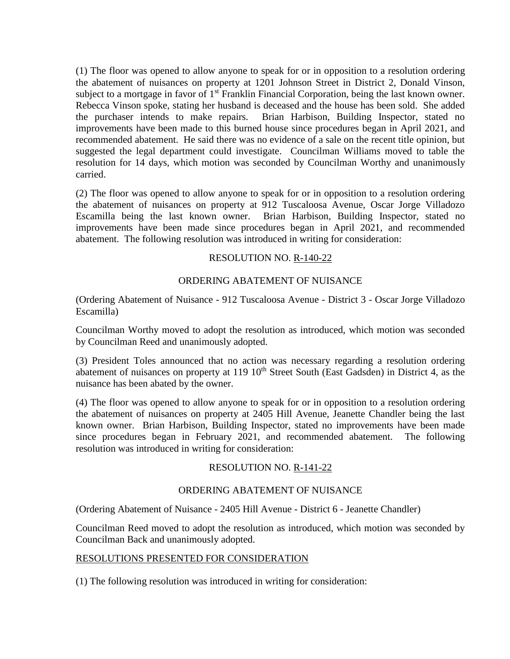(1) The floor was opened to allow anyone to speak for or in opposition to a resolution ordering the abatement of nuisances on property at 1201 Johnson Street in District 2, Donald Vinson, subject to a mortgage in favor of 1<sup>st</sup> Franklin Financial Corporation, being the last known owner. Rebecca Vinson spoke, stating her husband is deceased and the house has been sold. She added the purchaser intends to make repairs. Brian Harbison, Building Inspector, stated no improvements have been made to this burned house since procedures began in April 2021, and recommended abatement. He said there was no evidence of a sale on the recent title opinion, but suggested the legal department could investigate. Councilman Williams moved to table the resolution for 14 days, which motion was seconded by Councilman Worthy and unanimously carried.

(2) The floor was opened to allow anyone to speak for or in opposition to a resolution ordering the abatement of nuisances on property at 912 Tuscaloosa Avenue, Oscar Jorge Villadozo Escamilla being the last known owner. Brian Harbison, Building Inspector, stated no improvements have been made since procedures began in April 2021, and recommended abatement. The following resolution was introduced in writing for consideration:

# RESOLUTION NO. R-140-22

# ORDERING ABATEMENT OF NUISANCE

(Ordering Abatement of Nuisance - 912 Tuscaloosa Avenue - District 3 - Oscar Jorge Villadozo Escamilla)

Councilman Worthy moved to adopt the resolution as introduced, which motion was seconded by Councilman Reed and unanimously adopted.

(3) President Toles announced that no action was necessary regarding a resolution ordering abatement of nuisances on property at 119 10<sup>th</sup> Street South (East Gadsden) in District 4, as the nuisance has been abated by the owner.

(4) The floor was opened to allow anyone to speak for or in opposition to a resolution ordering the abatement of nuisances on property at 2405 Hill Avenue, Jeanette Chandler being the last known owner. Brian Harbison, Building Inspector, stated no improvements have been made since procedures began in February 2021, and recommended abatement. The following resolution was introduced in writing for consideration:

# RESOLUTION NO. R-141-22

# ORDERING ABATEMENT OF NUISANCE

(Ordering Abatement of Nuisance - 2405 Hill Avenue - District 6 - Jeanette Chandler)

Councilman Reed moved to adopt the resolution as introduced, which motion was seconded by Councilman Back and unanimously adopted.

# RESOLUTIONS PRESENTED FOR CONSIDERATION

(1) The following resolution was introduced in writing for consideration: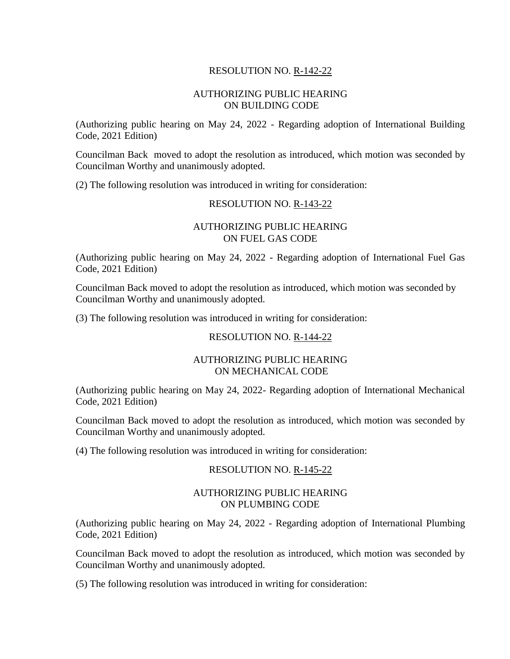# RESOLUTION NO. R-142-22

# AUTHORIZING PUBLIC HEARING ON BUILDING CODE

(Authorizing public hearing on May 24, 2022 - Regarding adoption of International Building Code, 2021 Edition)

Councilman Back moved to adopt the resolution as introduced, which motion was seconded by Councilman Worthy and unanimously adopted.

(2) The following resolution was introduced in writing for consideration:

#### RESOLUTION NO. R-143-22

# AUTHORIZING PUBLIC HEARING ON FUEL GAS CODE

(Authorizing public hearing on May 24, 2022 - Regarding adoption of International Fuel Gas Code, 2021 Edition)

Councilman Back moved to adopt the resolution as introduced, which motion was seconded by Councilman Worthy and unanimously adopted.

(3) The following resolution was introduced in writing for consideration:

# RESOLUTION NO. R-144-22

#### AUTHORIZING PUBLIC HEARING ON MECHANICAL CODE

(Authorizing public hearing on May 24, 2022- Regarding adoption of International Mechanical Code, 2021 Edition)

Councilman Back moved to adopt the resolution as introduced, which motion was seconded by Councilman Worthy and unanimously adopted.

(4) The following resolution was introduced in writing for consideration:

# RESOLUTION NO. R-145-22

# AUTHORIZING PUBLIC HEARING ON PLUMBING CODE

(Authorizing public hearing on May 24, 2022 - Regarding adoption of International Plumbing Code, 2021 Edition)

Councilman Back moved to adopt the resolution as introduced, which motion was seconded by Councilman Worthy and unanimously adopted.

(5) The following resolution was introduced in writing for consideration: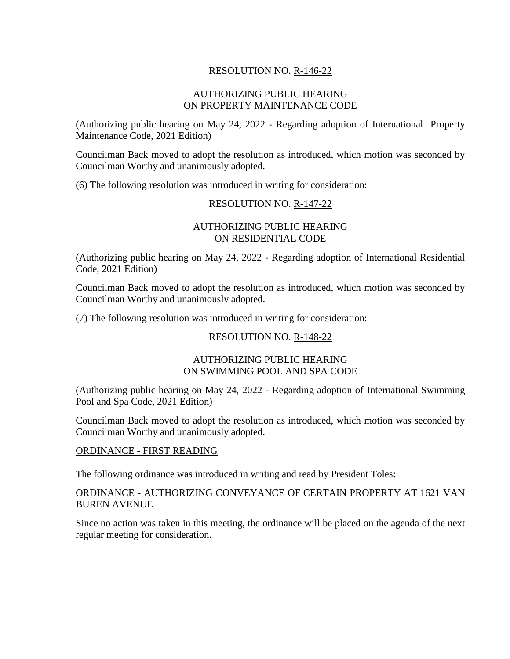# RESOLUTION NO. R-146-22

# AUTHORIZING PUBLIC HEARING ON PROPERTY MAINTENANCE CODE

(Authorizing public hearing on May 24, 2022 - Regarding adoption of International Property Maintenance Code, 2021 Edition)

Councilman Back moved to adopt the resolution as introduced, which motion was seconded by Councilman Worthy and unanimously adopted.

(6) The following resolution was introduced in writing for consideration:

# RESOLUTION NO. R-147-22

# AUTHORIZING PUBLIC HEARING ON RESIDENTIAL CODE

(Authorizing public hearing on May 24, 2022 - Regarding adoption of International Residential Code, 2021 Edition)

Councilman Back moved to adopt the resolution as introduced, which motion was seconded by Councilman Worthy and unanimously adopted.

(7) The following resolution was introduced in writing for consideration:

# RESOLUTION NO. R-148-22

#### AUTHORIZING PUBLIC HEARING ON SWIMMING POOL AND SPA CODE

(Authorizing public hearing on May 24, 2022 - Regarding adoption of International Swimming Pool and Spa Code, 2021 Edition)

Councilman Back moved to adopt the resolution as introduced, which motion was seconded by Councilman Worthy and unanimously adopted.

# ORDINANCE - FIRST READING

The following ordinance was introduced in writing and read by President Toles:

# ORDINANCE - AUTHORIZING CONVEYANCE OF CERTAIN PROPERTY AT 1621 VAN BUREN AVENUE

Since no action was taken in this meeting, the ordinance will be placed on the agenda of the next regular meeting for consideration.